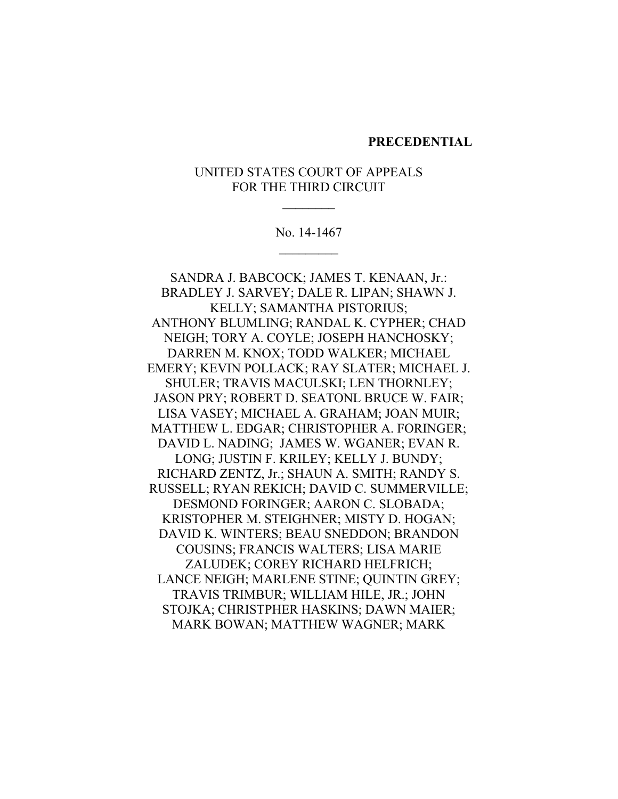#### **PRECEDENTIAL**

## UNITED STATES COURT OF APPEALS FOR THE THIRD CIRCUIT

 $\frac{1}{2}$ 

No. 14-1467

SANDRA J. BABCOCK; JAMES T. KENAAN, Jr.: BRADLEY J. SARVEY; DALE R. LIPAN; SHAWN J. KELLY; SAMANTHA PISTORIUS; ANTHONY BLUMLING; RANDAL K. CYPHER; CHAD NEIGH; TORY A. COYLE; JOSEPH HANCHOSKY; DARREN M. KNOX; TODD WALKER; MICHAEL EMERY: KEVIN POLLACK; RAY SLATER; MICHAEL J. SHULER; TRAVIS MACULSKI; LEN THORNLEY; JASON PRY; ROBERT D. SEATONL BRUCE W. FAIR; LISA VASEY; MICHAEL A. GRAHAM; JOAN MUIR; MATTHEW L. EDGAR; CHRISTOPHER A. FORINGER; DAVID L. NADING; JAMES W. WGANER; EVAN R. LONG; JUSTIN F. KRILEY; KELLY J. BUNDY; RICHARD ZENTZ, Jr.; SHAUN A. SMITH; RANDY S. RUSSELL; RYAN REKICH; DAVID C. SUMMERVILLE; DESMOND FORINGER; AARON C. SLOBADA; KRISTOPHER M. STEIGHNER; MISTY D. HOGAN; DAVID K. WINTERS; BEAU SNEDDON; BRANDON COUSINS; FRANCIS WALTERS; LISA MARIE ZALUDEK; COREY RICHARD HELFRICH; LANCE NEIGH: MARLENE STINE: QUINTIN GREY: TRAVIS TRIMBUR; WILLIAM HILE, JR.; JOHN STOJKA: CHRISTPHER HASKINS: DAWN MAIER: MARK BOWAN; MATTHEW WAGNER; MARK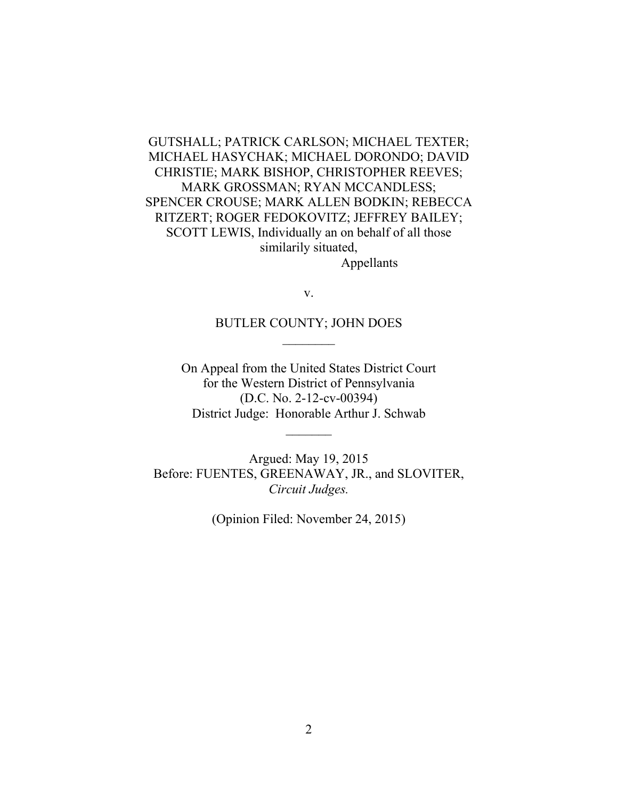GUTSHALL; PATRICK CARLSON; MICHAEL TEXTER; MICHAEL HASYCHAK; MICHAEL DORONDO; DAVID CHRISTIE; MARK BISHOP, CHRISTOPHER REEVES; MARK GROSSMAN; RYAN MCCANDLESS; SPENCER CROUSE; MARK ALLEN BODKIN; REBECCA RITZERT; ROGER FEDOKOVITZ; JEFFREY BAILEY; SCOTT LEWIS, Individually an on behalf of all those similarily situated, Appellants

v.

BUTLER COUNTY; JOHN DOES  $\mathcal{L}_\mathrm{max}$ 

On Appeal from the United States District Court for the Western District of Pennsylvania  $(D.C. No. 2-12-cv-00394)$ District Judge: Honorable Arthur J. Schwab

Argued: May 19, 2015 Before: FUENTES, GREENAWAY, JR., and SLOVITER, *Circuit'Judges.*

(Opinion Filed: November 24, 2015)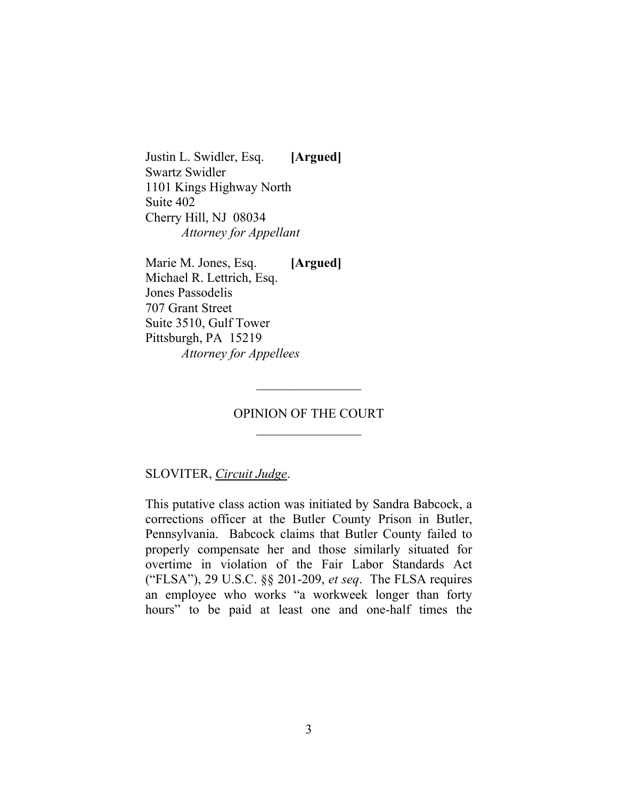Justin L. Swidler, Esq. [Argued] Swartz Swidler 1101 Kings Highway North Suite 402 Cherry Hill, NJ 08034 *Attorney'for'Appellant*

Marie M. Jones, Esq. [Argued] Michael R. Lettrich, Esq. Jones Passodelis 707 Grant Street Suite 3510, Gulf Tower Pittsburgh, PA 15219 *Attorney'for'Appellees*

#### OPINION OF THE COURT

 $\frac{1}{2}$ 

#### SLOVITER,!*Circuit'Judge*.

This putative class action was initiated by Sandra Babcock, a corrections officer at the Butler County Prison in Butler, Pennsylvania. Babcock claims that Butler County failed to properly compensate her and those similarly situated for overtime in violation of the Fair Labor Standards Act ("FLSA"), 29 U.S.C. §§ 201-209, *et seq.* The FLSA requires an employee who works "a workweek longer than forty hours" to be paid at least one and one-half times the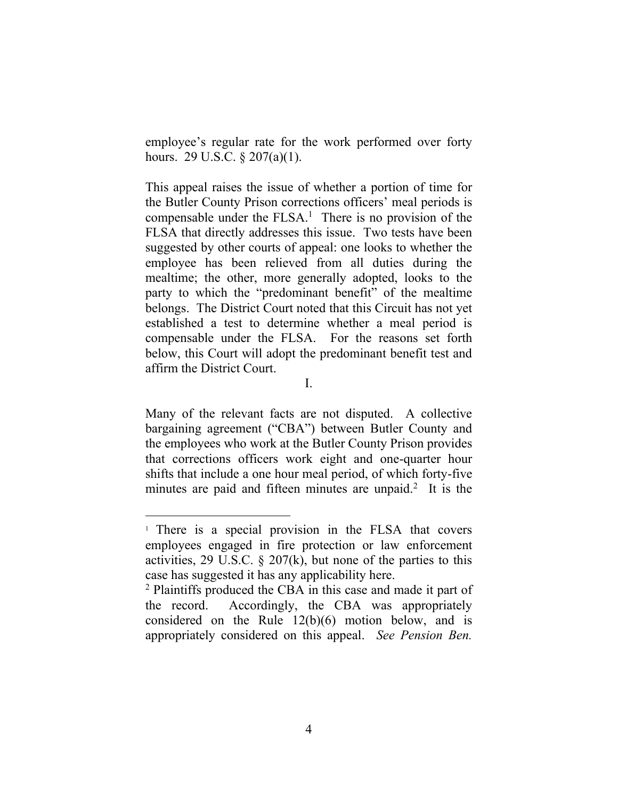employee's regular rate for the work performed over forty hours. 29 U.S.C.  $\S 207(a)(1)$ .

This appeal raises the issue of whether a portion of time for the Butler County Prison corrections officers' meal periods is compensable under the  $FLSA$ <sup>1</sup>. There is no provision of the FLSA that directly addresses this issue. Two tests have been suggested by other courts of appeal: one looks to whether the employee has been relieved from all duties during the mealtime; the other, more generally adopted, looks to the party to which the "predominant benefit" of the mealtime belongs. The District Court noted that this Circuit has not yet established a test to determine whether a meal period is compensable under the FLSA. For the reasons set forth below, this Court will adopt the predominant benefit test and affirm the District Court.

I.

Many of the relevant facts are not disputed. A collective bargaining agreement ("CBA") between Butler County and the employees who work at the Butler County Prison provides that corrections officers work eight and one-quarter hour shifts that include a one hour meal period, of which forty-five minutes are paid and fifteen minutes are unpaid.<sup>2</sup> It is the

 $\frac{1}{1}$  There is a special provision in the FLSA that covers employees engaged in fire protection or law enforcement activities, 29 U.S.C. § 207(k), but none of the parties to this case has suggested it has any applicability here.

<sup>&</sup>lt;sup>2</sup> Plaintiffs produced the CBA in this case and made it part of the record. Accordingly, the CBA was appropriately considered on the Rule  $12(b)(6)$  motion below, and is appropriately considered on this appeal. See *Pension Ben.*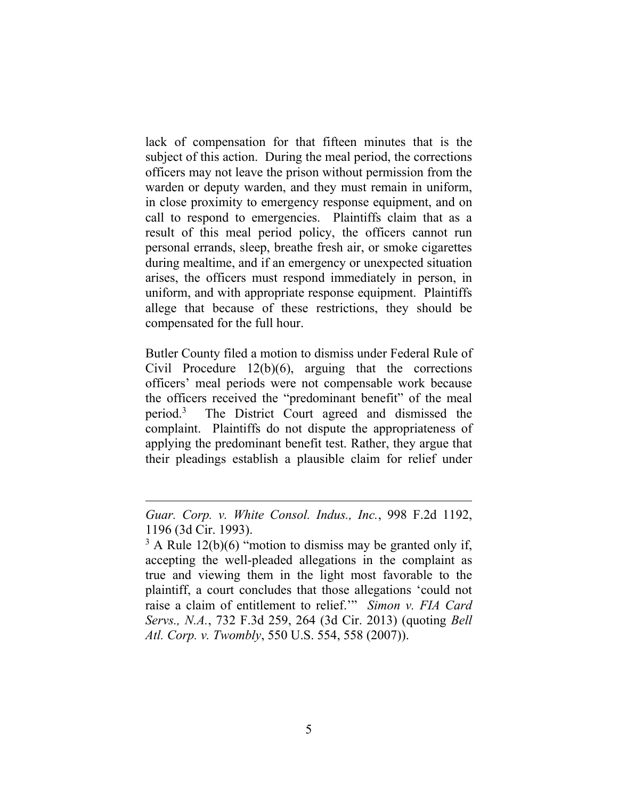lack of compensation for that fifteen minutes that is the subject of this action. During the meal period, the corrections officers may not leave the prison without permission from the warden or deputy warden, and they must remain in uniform, in close proximity to emergency response equipment, and on call to respond to emergencies. Plaintiffs claim that as a result of this meal period policy, the officers cannot run personal errands, sleep, breathe fresh air, or smoke cigarettes during mealtime, and if an emergency or unexpected situation arises, the officers must respond immediately in person, in uniform, and with appropriate response equipment. Plaintiffs allege that because of these restrictions, they should be compensated for the full hour.

Butler County filed a motion to dismiss under Federal Rule of Civil Procedure  $12(b)(6)$ , arguing that the corrections officers' meal periods were not compensable work because the officers received the "predominant benefit" of the meal period.3 The District Court agreed and dismissed the complaint. Plaintiffs do not dispute the appropriateness of applying the predominant benefit test. Rather, they argue that their pleadings establish a plausible claim for relief under

!!!!!!!!!!!!!!!!!!!!!!!!!!!!!!!!!!!!!!!!!!!!!!!!!!!!!!!!!!!!!!!!!!!!!!!!!!!!!!!!!!!!!!!!!!!!!!!!!!!!

*Guar. Corp. v. White Consol. Indus., Inc.*, 998 F.2d 1192, 1196 (3d Cir. 1993).

 $3 \text{ A}$  Rule 12(b)(6) "motion to dismiss may be granted only if, accepting the well-pleaded allegations in the complaint as true and viewing them in the light most favorable to the plaintiff, a court concludes that those allegations 'could not raise a claim of entitlement to relief."" Simon v. FIA Card *Servs., N.A., 732 F.3d 259, 264 (3d Cir. 2013) (quoting <i>Bell Atl. Corp. v. Twombly, 550 U.S. 554, 558 (2007)).*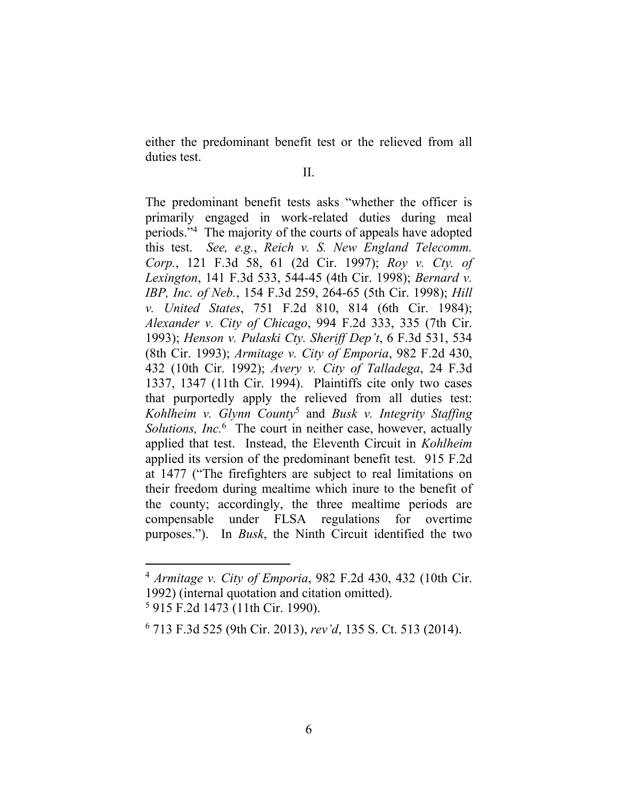either the predominant benefit test or the relieved from all duties test.

II.

The predominant benefit tests asks "whether the officer is primarily engaged in work-related duties during meal periods."<sup>4</sup> The majority of the courts of appeals have adopted this test. *See, e.g., Reich v. S. New England Telecomm. Corp.*,! 121! F.3d! 58,! 61! (2d! Cir.! 1997)< *Roy' v.' Cty.' of' Lexington*, 141 F.3d 533, 544-45 (4th Cir. 1998); *Bernard v. IBP, Inc. of Neb.*, 154 F.3d 259, 264-65 (5th Cir. 1998); *Hill v. United States, 751 F.2d 810, 814 (6th Cir. 1984); Alexander v. City of Chicago, 994 F.2d 333, 335 (7th Cir.)* 1993); *Henson v. Pulaski Cty. Sheriff Dep't*, 6 F.3d 531, 534 (8th!Cir. 1993)<!*Armitage v.'City'of'Emporia*, 982!F.2d 430, 432 (10th Cir. 1992); *Avery v. City of Talladega*, 24 F.3d 1337, 1347 (11th Cir. 1994). Plaintiffs cite only two cases that purportedly apply the relieved from all duties test: *Kohlheim' v.' Glynn' County*<sup>5</sup> and! *Busk' v.' Integrity' Staffing'* Solutions, Inc.<sup>6</sup> The court in neither case, however, actually applied that test. Instead, the Eleventh Circuit in *Kohlheim* applied its version of the predominant benefit test. 915 F.2d at 1477 ("The firefighters are subject to real limitations on their freedom during mealtime which inure to the benefit of the county; accordingly, the three mealtime periods are compensable under FLSA regulations for overtime purposes."). In *Busk*, the Ninth Circuit identified the two

<sup>&</sup>lt;sup>4</sup> *Armitage v. City of Emporia*, 982 F.2d 430, 432 (10th Cir.) 1992) (internal quotation and citation omitted).

 $5$  915 F.2d 1473 (11th Cir. 1990).

<sup>6 713</sup> F.3d 525 (9th Cir. 2013), *rev'd*, 135 S. Ct. 513 (2014).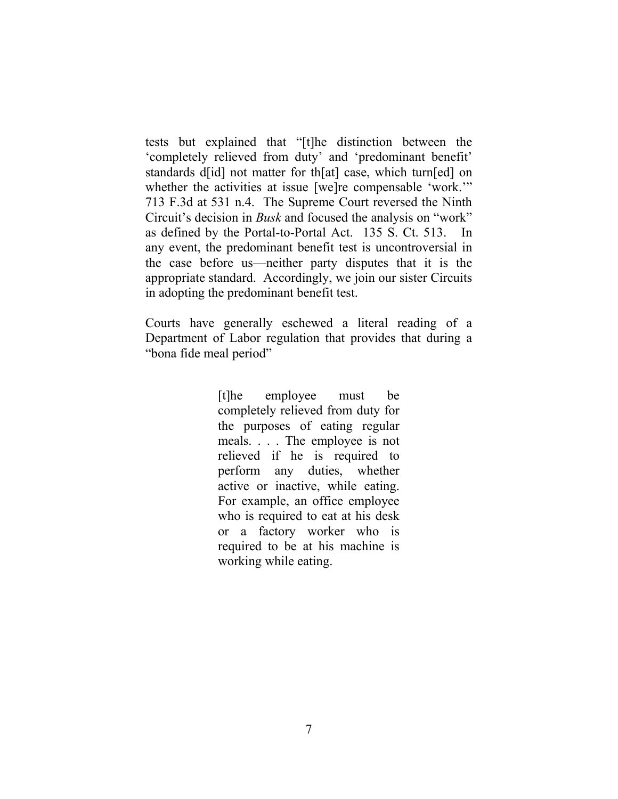tests but explained that "[t]he distinction between the 'completely relieved from duty' and 'predominant benefit' standards d[id] not matter for th[at] case, which turn[ed] on whether the activities at issue [we]re compensable 'work." 713 F.3d at 531 n.4. The Supreme Court reversed the Ninth Circuit's decision in *Busk* and focused the analysis on "work" as defined by the Portal-to-Portal Act. 135 S. Ct. 513. In any event, the predominant benefit test is uncontroversial in the case before us—neither party disputes that it is the appropriate standard. Accordingly, we join our sister Circuits in adopting the predominant benefit test.

Courts have generally eschewed a literal reading of a Department of Labor regulation that provides that during a "bona fide meal period"

> [t]he employee must be completely relieved from duty for the purposes of eating regular meals. . . . The employee is not relieved if he is required to perform any duties, whether active or inactive, while eating. For example, an office employee who is required to eat at his desk or a factory worker who is required to be at his machine is working while eating.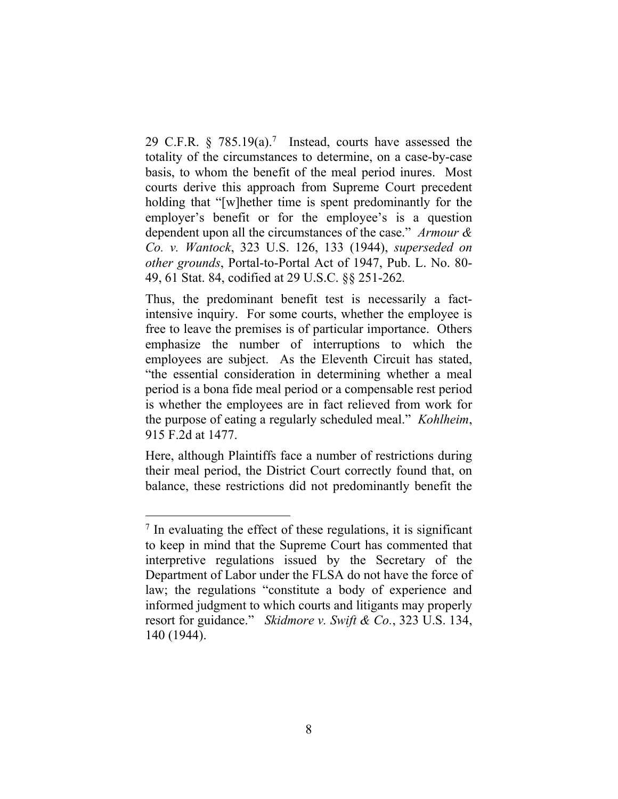29 C.F.R.  $\frac{6}{5}$  785.19(a).<sup>7</sup> Instead, courts have assessed the totality of the circumstances to determine, on a case-by-case basis, to whom the benefit of the meal period inures. Most courts derive this approach from Supreme Court precedent holding that "[w]hether time is spent predominantly for the employer's benefit or for the employee's is a question dependent upon all the circumstances of the case." Armour & *Co.' v.' Wantock*,! 323! U.S.! 126,! 133! (1944),! *superseded' on' other grounds*, Portal-to-Portal Act of 1947, Pub. L. No. 80-49, 61 Stat. 84, codified at 29 U.S.C. §§ 251-262.

Thus, the predominant benefit test is necessarily a factintensive inquiry. For some courts, whether the employee is free to leave the premises is of particular importance. Others emphasize the number of interruptions to which the employees are subject. As the Eleventh Circuit has stated, "the essential consideration in determining whether a meal period is a bona fide meal period or a compensable rest period is whether the employees are in fact relieved from work for the purpose of eating a regularly scheduled meal." *Kohlheim*, 915 F.2d at 1477.

Here, although Plaintiffs face a number of restrictions during their meal period, the District Court correctly found that, on balance, these restrictions did not predominantly benefit the

 $<sup>7</sup>$  In evaluating the effect of these regulations, it is significant</sup> to keep in mind that the Supreme Court has commented that interpretive regulations issued by the Secretary of the Department of Labor under the FLSA do not have the force of law; the regulations "constitute a body of experience and informed judgment to which courts and litigants may properly resort for guidance." *Skidmore v. Swift & Co.*, 323 U.S. 134, 140 (1944).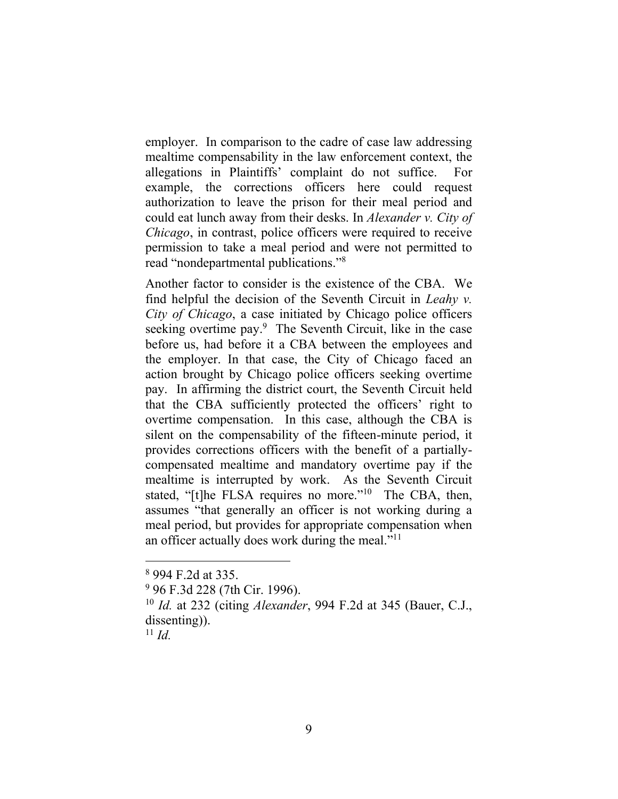employer. In comparison to the cadre of case law addressing mealtime compensability in the law enforcement context, the allegations in Plaintiffs' complaint do not suffice. For example, the corrections officers here could request authorization to leave the prison for their meal period and could eat lunch away from their desks. In *Alexander v. City of Chicago*, in contrast, police officers were required to receive permission to take a meal period and were not permitted to read "nondepartmental publications."<sup>8</sup>

Another factor to consider is the existence of the CBA. We find helpful the decision of the Seventh Circuit in *Leahy v. City of Chicago*, a case initiated by Chicago police officers seeking overtime pay.<sup>9</sup> The Seventh Circuit, like in the case before us, had before it a CBA between the employees and the employer. In that case, the City of Chicago faced an action brought by Chicago police officers seeking overtime pay. In affirming the district court, the Seventh Circuit held that the CBA sufficiently protected the officers' right to overtime compensation. In this case, although the CBA is silent on the compensability of the fifteen-minute period, it provides corrections officers with the benefit of a partiallycompensated mealtime and mandatory overtime pay if the mealtime is interrupted by work. As the Seventh Circuit stated, "[t]he FLSA requires no more."<sup>10</sup> The CBA, then, assumes "that generally an officer is not working during a meal period, but provides for appropriate compensation when an officer actually does work during the meal." $11$ 

<sup>&</sup>lt;sup>8</sup> 994 F.2d at 335.

<sup>&</sup>lt;sup>9</sup> 96 F.3d 228 (7th Cir. 1996).

<sup>&</sup>lt;sup>10</sup> *Id.* at 232 (citing *Alexander*, 994 F.2d at 345 (Bauer, C.J., dissenting)).

 $11$  *Id.*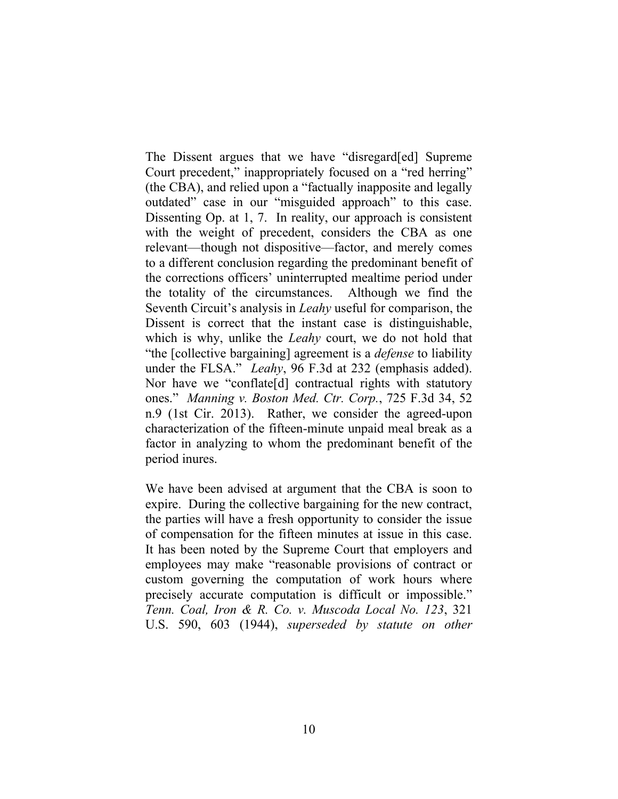The Dissent argues that we have "disregard [ed] Supreme Court precedent," inappropriately focused on a "red herring" (the CBA), and relied upon a "factually inapposite and legally outdated" case in our "misguided approach" to this case. Dissenting Op. at 1, 7. In reality, our approach is consistent with the weight of precedent, considers the CBA as one relevant—though not dispositive—factor, and merely comes to a different conclusion regarding the predominant benefit of the corrections officers' uninterrupted mealtime period under the totality of the circumstances. Although we find the Seventh Circuit's analysis in *Leahy* useful for comparison, the Dissent is correct that the instant case is distinguishable, which is why, unlike the *Leahy* court, we do not hold that "the [collective bargaining] agreement is a *defense* to liability under the FLSA." *Leahy*, 96 F.3d at 232 (emphasis added). Nor have we "conflate[d] contractual rights with statutory ones." *Manning v. Boston Med. Ctr. Corp.*, 725 F.3d 34, 52 n.9 (1st Cir. 2013). Rather, we consider the agreed-upon characterization of the fifteen-minute unpaid meal break as a factor in analyzing to whom the predominant benefit of the period inures.

We have been advised at argument that the CBA is soon to expire. During the collective bargaining for the new contract, the parties will have a fresh opportunity to consider the issue of compensation for the fifteen minutes at issue in this case. It has been noted by the Supreme Court that employers and employees may make "reasonable provisions of contract or custom governing the computation of work hours where precisely accurate computation is difficult or impossible." *Tenn.'Coal, Iron' &' R.' Co.' v.' Muscoda' Local' No.' 123*, 321! U.S.! 590, 603 (1944),! *superseded' by' statute' on' other'*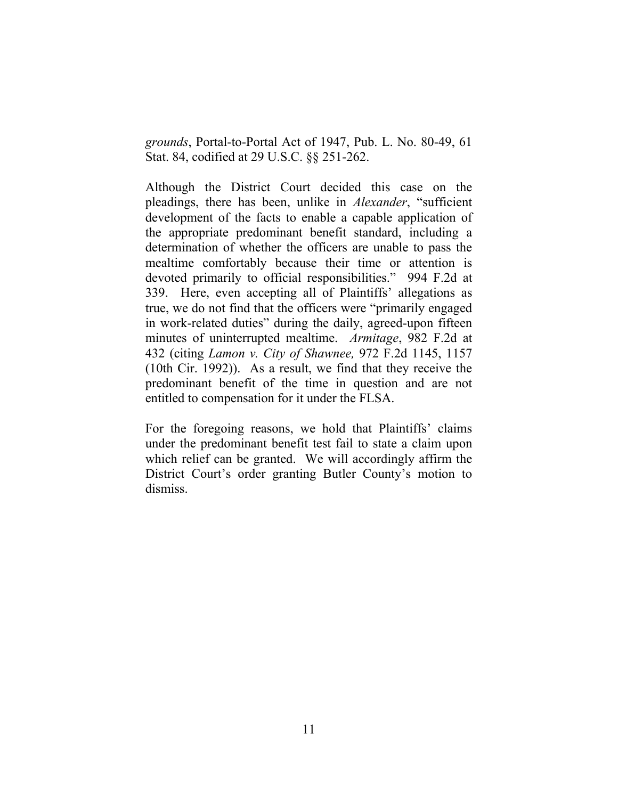*grounds*, Portal-to-Portal Act of 1947, Pub. L. No. 80-49, 61 Stat. 84, codified at 29 U.S.C. §§ 251-262.

Although the District Court decided this case on the pleadings, there has been, unlike in *Alexander*, "sufficient" development of the facts to enable a capable application of the appropriate predominant benefit standard, including a determination of whether the officers are unable to pass the mealtime comfortably because their time or attention is devoted primarily to official responsibilities." 994 F.2d at 339. Here, even accepting all of Plaintiffs' allegations as true, we do not find that the officers were "primarily engaged in work-related duties" during the daily, agreed-upon fifteen minutes of uninterrupted mealtime. *Armitage*, 982 F.2d at 432 (citing *Lamon v. City of Shawnee*, 972 F.2d 1145, 1157 (10th Cir. 1992)). As a result, we find that they receive the predominant benefit of the time in question and are not entitled to compensation for it under the FLSA.

For the foregoing reasons, we hold that Plaintiffs' claims under the predominant benefit test fail to state a claim upon which relief can be granted. We will accordingly affirm the District Court's order granting Butler County's motion to dismiss.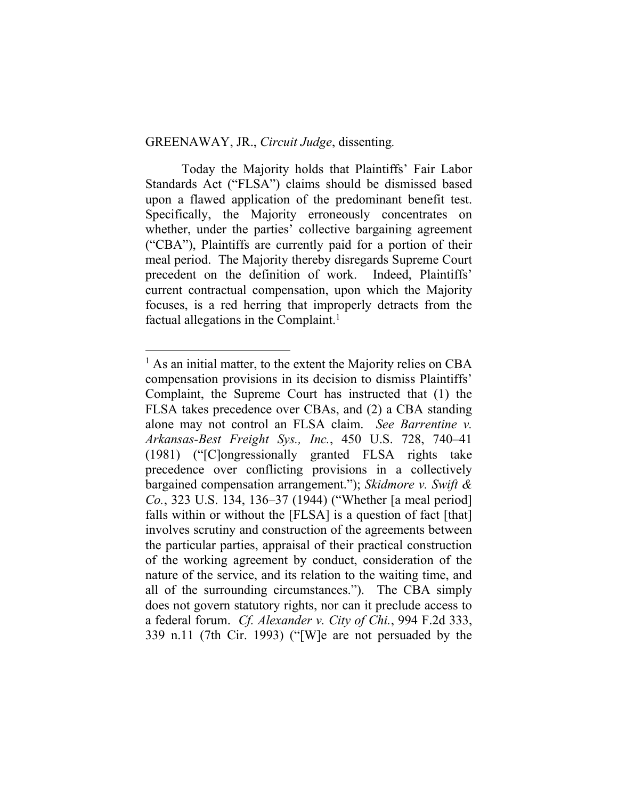#### GREENAWAY, JR., *Circuit Judge*, dissenting.

!!!!!!!!!!!!!!!!!!!!!!!!!!!!!!!!!!!!!!!!!!!!!!!!!!!!!!!

Today the Majority holds that Plaintiffs' Fair Labor Standards Act ("FLSA") claims should be dismissed based upon a flawed application of the predominant benefit test. Specifically, the Majority erroneously concentrates on whether, under the parties' collective bargaining agreement  $($ "CBA"), Plaintiffs are currently paid for a portion of their meal period. The Majority thereby disregards Supreme Court precedent on the definition of work. Indeed, Plaintiffs' current contractual compensation, upon which the Majority focuses, is a red herring that improperly detracts from the factual allegations in the Complaint.<sup>1</sup>

<sup>&</sup>lt;sup>1</sup> As an initial matter, to the extent the Majority relies on CBA compensation provisions in its decision to dismiss Plaintiffs' Complaint, the Supreme Court has instructed that (1) the FLSA takes precedence over CBAs, and (2) a CBA standing alone) may) not) control) an) FLSA) claim.) *See Barrentine' v.' Arkansas-Best Freight Sys., Inc.*, 450 U.S. 728, 740-41  $(1981)$  ("[C]ongressionally granted FLSA rights take precedence over conflicting provisions in a collectively bargained compensation arrangement."); Skidmore v. Swift & *Co.*, 323 U.S. 134, 136–37 (1944) ("Whether [a meal period] falls within or without the  $[FLSA]$  is a question of fact  $[that]$ involves scrutiny and construction of the agreements between the particular parties, appraisal of their practical construction of the working agreement by conduct, consideration of the nature of the service, and its relation to the waiting time, and all of the surrounding circumstances."). The CBA simply does not govern statutory rights, nor can it preclude access to a federal forum. *Cf. Alexander v. City of Chi.*, 994 F.2d 333, 339 n.11 (7th Cir. 1993) ("[W]e are not persuaded by the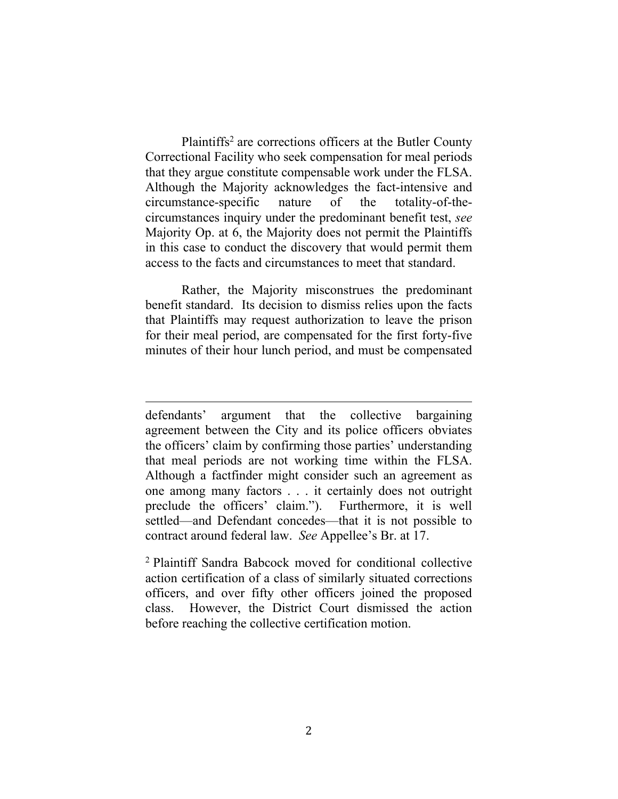Plaintiffs<sup>2</sup> are corrections officers at the Butler County Correctional Facility who seek compensation for meal periods that they argue constitute compensable work under the FLSA. Although the Majority acknowledges the fact-intensive and circumstance-specific nature of the totality-of-thecircumstances inquiry under the predominant benefit test, *see* Majority Op. at 6, the Majority does not permit the Plaintiffs in this case to conduct the discovery that would permit them access to the facts and circumstances to meet that standard.

Rather, the Majority misconstrues the predominant benefit standard. Its decision to dismiss relies upon the facts that) Plaintiffs) may request) authorization) to) leave) the) prison) for their meal period, are compensated for the first forty-five minutes of their hour lunch period, and must be compensated

!!!!!!!!!!!!!!!!!!!!!!!!!!!!!!!!!!!!!!!!!!!!!!!!!!!!!!!!!!!!!!!!!!!!!!!!!!!!!!!!!!!!!!!!!!!!!!!!!!!!!!!!!!!!!!!!!!!!!!!!!!!

<sup>2</sup> Plaintiff Sandra Babcock moved for conditional collective action certification of a class of similarly situated corrections officers,) and) over) fifty) other) officers) joined) the) proposed) class. However, the District Court dismissed the action before reaching the collective certification motion.

defendants' argument that the collective bargaining agreement between the City and its police officers obviates the officers' claim by confirming those parties' understanding that meal periods are not working time within the FLSA. Although a factfinder might consider such an agreement as one among many factors . . . it certainly does not outright preclude the officers' claim."). Furthermore, it is well settled—and Defendant concedes—that it is not possible to contract around federal law. See Appellee's Br. at 17.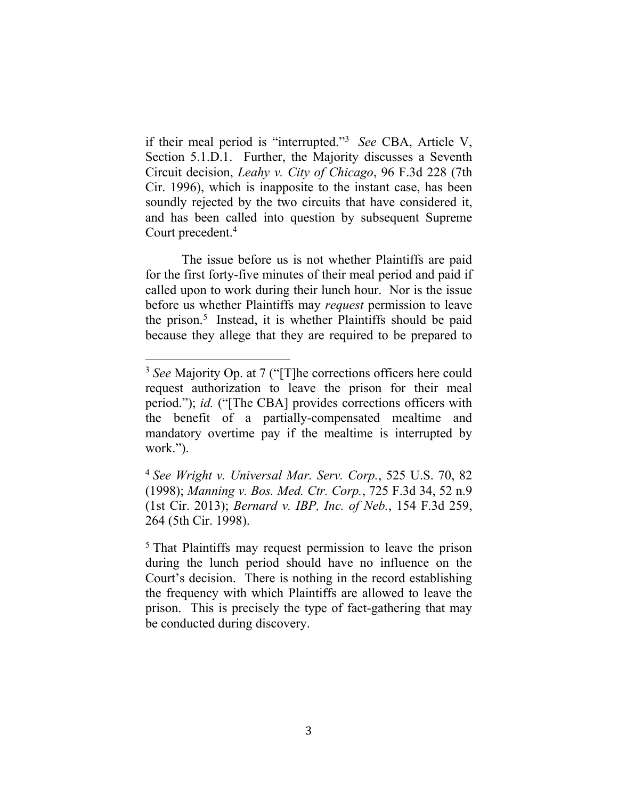if their meal period is "interrupted."<sup>3</sup> See CBA, Article V, Section 5.1.D.1. Further, the Majority discusses a Seventh Circuit decision, *Leahy v. City of Chicago*, 96 F.3d 228 (7th) Cir. 1996), which is inapposite to the instant case, has been soundly rejected by the two circuits that have considered it, and has been called into question by subsequent Supreme Court precedent.<sup>4</sup>

The issue before us is not whether Plaintiffs are paid for the first forty-five minutes of their meal period and paid if called upon to work during their lunch hour. Nor is the issue before us whether Plaintiffs may *request* permission to leave the prison.<sup>5</sup> Instead, it is whether Plaintiffs should be paid because they allege that they are required to be prepared to

<sup>&</sup>lt;sup>3</sup> See Majority Op. at 7 ("The corrections officers here could request authorization to leave the prison for their meal period."); *id.* ("[The CBA] provides corrections officers with the benefit of a partially-compensated mealtime and mandatory overtime pay if the mealtime is interrupted by work.").

<sup>&</sup>lt;sup>4</sup> See Wright v. Universal Mar. Serv. Corp., 525 U.S. 70, 82 (1998); Manning v. Bos. Med. Ctr. Corp., 725 F.3d 34, 52 n.9 (1st Cir. 2013); *Bernard v. IBP, Inc. of Neb.*, 154 F.3d 259, 264 (5th Cir. 1998).

 $5$  That Plaintiffs may request permission to leave the prison during the lunch period should have no influence on the Court's decision. There is nothing in the record establishing the frequency with which Plaintiffs are allowed to leave the prison. This is precisely the type of fact-gathering that may be conducted during discovery.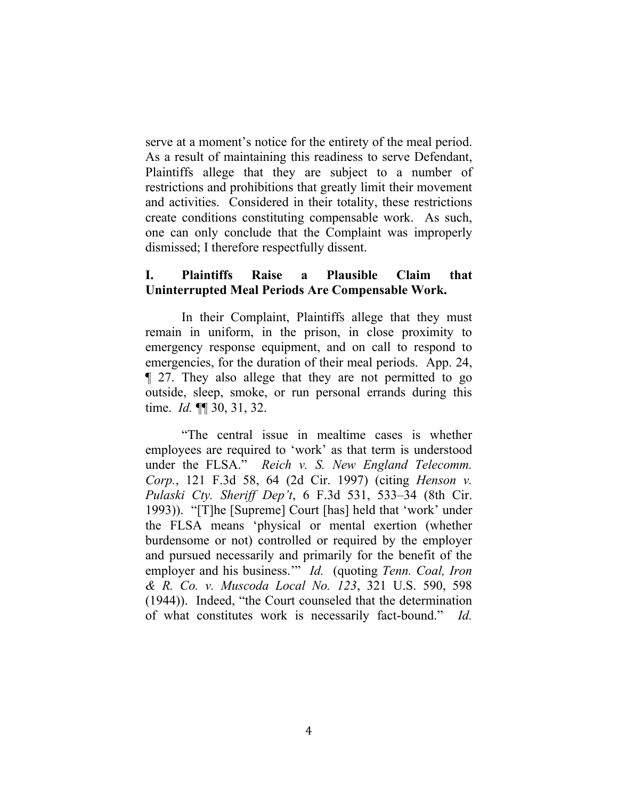serve at a moment's notice for the entirety of the meal period. As a result of maintaining this readiness to serve Defendant, Plaintiffs allege that they are subject to a number of restrictions and prohibitions that greatly limit their movement and activities. Considered in their totality, these restrictions create conditions constituting compensable work. As such, one can only conclude that the Complaint was improperly dismissed; I therefore respectfully dissent.

## **I. Plaintiffs+ Raise+ a+ Plausible+ Claim+ that+ Uninterrupted+Meal+Periods+Are+Compensable Work.**

In their Complaint, Plaintiffs allege that they must remain in uniform, in the prison, in close proximity to emergency response equipment, and on call to respond to emergencies, for the duration of their meal periods. App. 24,  $\P$  27. They also allege that they are not permitted to go outside, sleep, smoke, or run personal errands during this time. *Id.* ¶¶ 30, 31, 32.

"The central issue in mealtime cases is whether employees are required to 'work' as that term is understood under the FLSA." Reich v. S. New England Telecomm. *Corp.*, 121 F.3d 58, 64 (2d Cir. 1997) (citing *Henson v. Pulaski Cty. Sheriff Dep't*, 6 F.3d 531, 533-34 (8th Cir. 1993)). "[T]he [Supreme] Court [has] held that 'work' under the FLSA means 'physical or mental exertion (whether) burdensome or not) controlled or required by the employer and pursued necessarily and primarily for the benefit of the employer and his business."" *Id.* (quoting *Tenn. Coal, Iron*) *&' R.' Co.' v.' Muscoda' Local' No.' 123*,) 321) U.S.) 590,) 598)  $(1944)$ ). Indeed, "the Court counseled that the determination of what constitutes work is necessarily fact-bound." *Id.*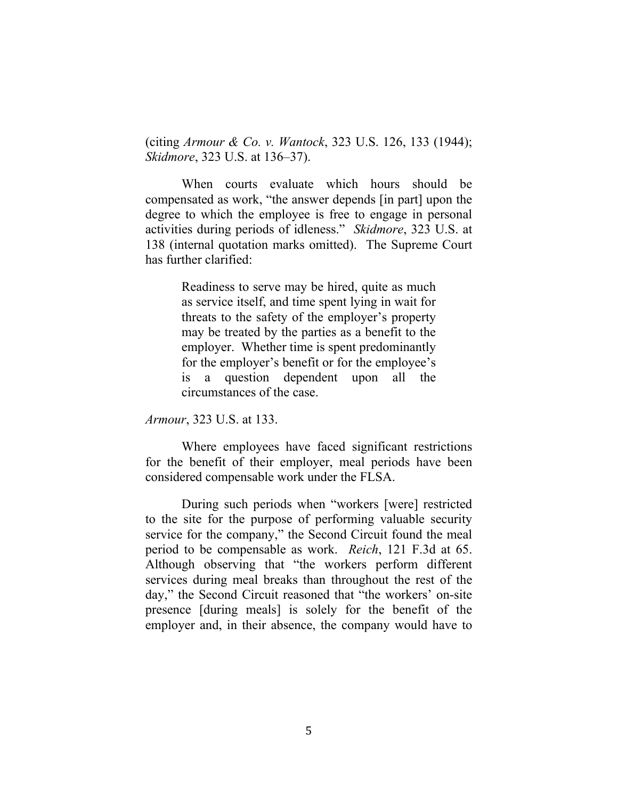(citing *Armour & Co. v. Wantock*, 323 U.S. 126, 133 (1944); *Skidmore*, 323 U.S. at 136–37).

When courts evaluate which hours should be compensated as work, "the answer depends [in part] upon the degree to which the employee is free to engage in personal activities during periods of idleness." *Skidmore*, 323 U.S. at 138 (internal quotation marks omitted). The Supreme Court has further clarified:

> Readiness to serve may be hired, quite as much as service itself, and time spent lying in wait for threats to the safety of the employer's property may be treated by the parties as a benefit to the employer. Whether time is spent predominantly for the employer's benefit or for the employee's is a question dependent upon all the circumstances of the case.

*Armour*, 323 U.S. at 133.

Where employees have faced significant restrictions for the benefit of their employer, meal periods have been considered compensable work under the FLSA.

During such periods when "workers [were] restricted to the site for the purpose of performing valuable security service for the company," the Second Circuit found the meal period to be compensable as work. *Reich*, 121 F.3d at 65. Although observing that "the workers perform different services during meal breaks than throughout the rest of the day," the Second Circuit reasoned that "the workers' on-site presence [during meals] is solely for the benefit of the employer and, in their absence, the company would have to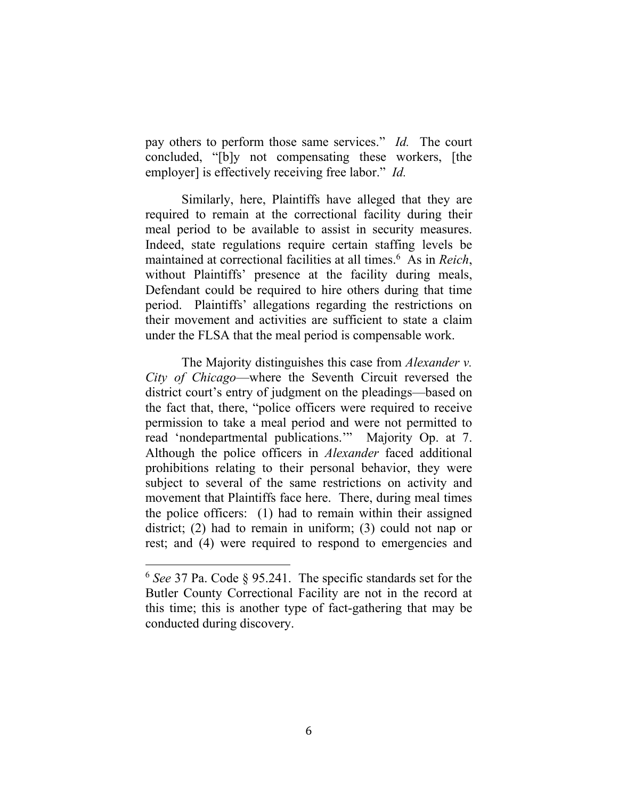pay others to perform those same services.<sup>"</sup> *Id.* The court concluded, "[b]y not compensating these workers, [the employer] is effectively receiving free labor." *Id.* 

Similarly, here, Plaintiffs have alleged that they are required to remain at the correctional facility during their meal period to be available to assist in security measures. Indeed, state regulations require certain staffing levels be maintained at correctional facilities at all times.<sup>6</sup> As in *Reich*, without Plaintiffs' presence at the facility during meals, Defendant could be required to hire others during that time period. Plaintiffs' allegations regarding the restrictions on their movement and activities are sufficient to state a claim under the FLSA that the meal period is compensable work.

The Majority distinguishes this case from *Alexander v. City of Chicago*—where the Seventh Circuit reversed the district court's entry of judgment on the pleadings—based on the fact that, there, "police officers were required to receive permission to take a meal period and were not permitted to read 'nondepartmental publications." Majority Op. at 7. Although) the) police) officers) in) *Alexander* faced) additional prohibitions relating to their personal behavior, they were subject to several of the same restrictions on activity and movement that Plaintiffs face here. There, during meal times the police officers: (1) had to remain within their assigned district; (2) had to remain in uniform; (3) could not nap or rest; and (4) were required to respond to emergencies and

 $6$  *See* 37 Pa. Code  $§$  95.241. The specific standards set for the Butler County Correctional Facility are not in the record at this time; this is another type of fact-gathering that may be conducted during discovery.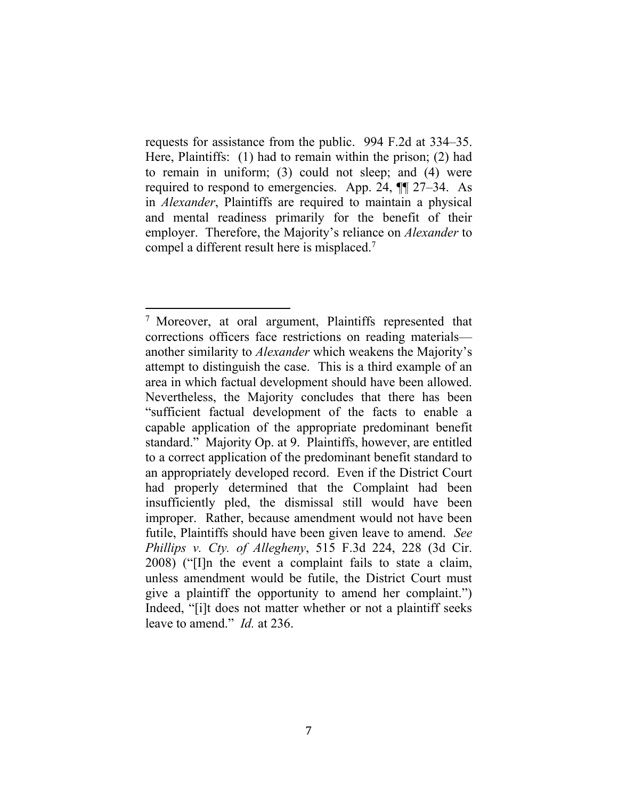requests for assistance from the public. 994 F.2d at 334–35. Here, Plaintiffs:  $(1)$  had to remain within the prison;  $(2)$  had to remain in uniform; (3) could not sleep; and  $(4)$  were required to respond to emergencies. App. 24,  $\P$  $\parallel$  27-34. As in *Alexander*, Plaintiffs are required to maintain a physical and mental readiness primarily for the benefit of their employer. Therefore, the Majority's reliance on *Alexander* to compel a different result here is misplaced.<sup>7</sup>

<sup>&</sup>lt;sup>7</sup> Moreover, at oral argument, Plaintiffs represented that corrections officers face restrictions on reading materials another similarity to *Alexander* which weakens the Majority's attempt to distinguish the case. This is a third example of an area in which factual development should have been allowed. Nevertheless, the Majority concludes that there has been "sufficient factual development of the facts to enable a capable) application) of) the) appropriate) predominant) benefit) standard." Majority Op. at 9. Plaintiffs, however, are entitled to a correct application of the predominant benefit standard to an appropriately developed record. Even if the District Court had properly determined that the Complaint had been insufficiently pled, the dismissal still would have been improper. Rather, because amendment would not have been futile, Plaintiffs should have been given leave to amend. *See Phillips v. Cty. of Allegheny*, 515 F.3d 224, 228 (3d Cir.)  $2008$ ) ("I In the event a complaint fails to state a claim, unless amendment would be futile, the District Court must give a plaintiff the opportunity to amend her complaint.") Indeed, "[i]t does not matter whether or not a plaintiff seeks leave to amend." *Id.* at 236.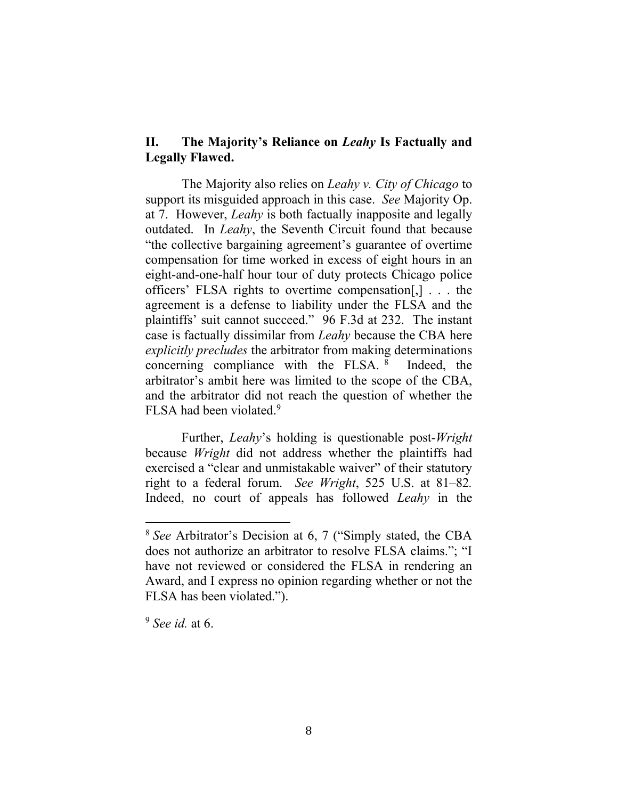# **II.** The Majority's Reliance on *Leahy* Is Factually and **Legally+Flawed.**

The Majority also relies on *Leahy v. City of Chicago* to support its misguided approach in this case. *See* Majority Op. at 7. However, *Leahy* is both factually inapposite and legally outdated. In *Leahy*, the Seventh Circuit found that because "the collective bargaining agreement's guarantee of overtime compensation for time worked in excess of eight hours in an eight-and-one-half hour tour of duty protects Chicago police officers' FLSA rights to overtime compensation[,]  $\ldots$  the agreement is a defense to liability under the FLSA and the plaintiffs' suit cannot succeed." 96 F.3d at 232. The instant case is factually dissimilar from *Leahy* because the CBA here *explicitly precludes* the arbitrator from making determinations concerning compliance with the FLSA.  $8$  Indeed, the arbitrator's ambit here was limited to the scope of the CBA, and the arbitrator did not reach the question of whether the FLSA had been violated.<sup>9</sup>

Further, *Leahy*'s holding is questionable post-*Wright* because *Wright* did not address whether the plaintiffs had exercised a "clear and unmistakable waiver" of their statutory right to a federal forum. *See Wright*, 525 U.S. at 81–82. Indeed, no court of appeals has followed *Leahy* in the

<sup>&</sup>lt;sup>8</sup> See Arbitrator's Decision at 6, 7 ("Simply stated, the CBA does not authorize an arbitrator to resolve FLSA claims."; "I have not reviewed or considered the FLSA in rendering an Award, and I express no opinion regarding whether or not the FLSA has been violated.").

 $9$  *See id.* at 6.